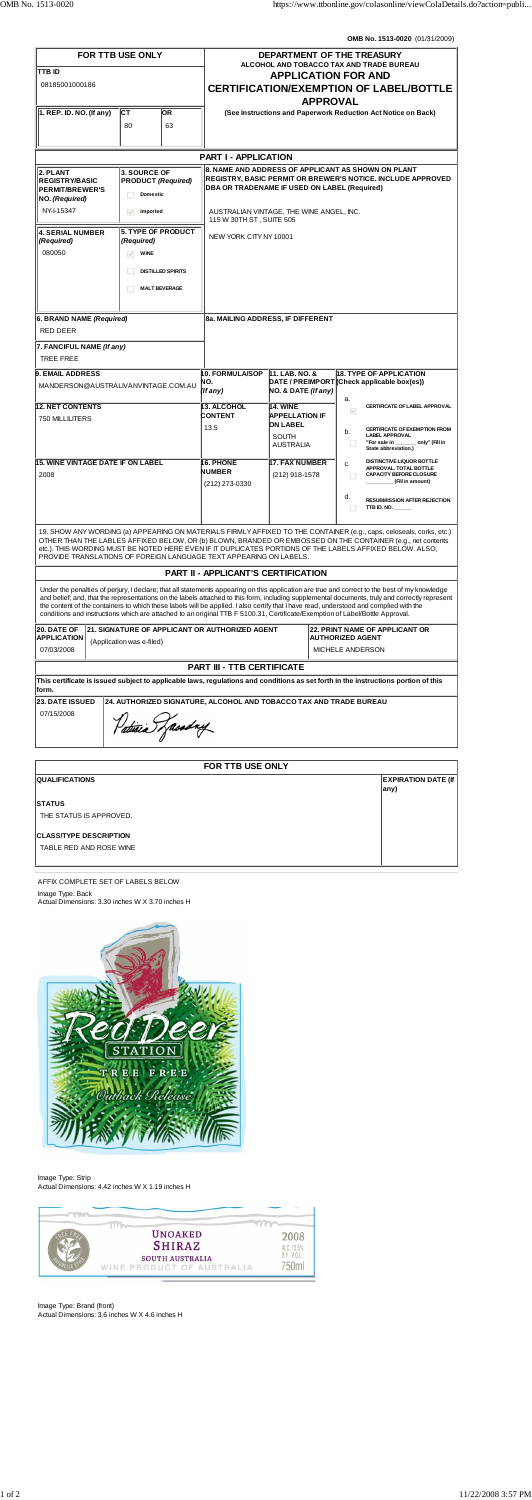**OMB No. 1513-0020** (01/31/2009)

| <b>FOR TTB USE ONLY</b><br><b>TTB ID</b><br>08185001000186                                                                                                                                                                                                                                                                                                                                                            |                                                                                                                           |           | DEPARTMENT OF THE TREASURY<br><b>ALCOHOL AND TOBACCO TAX AND TRADE BUREAU</b><br><b>APPLICATION FOR AND</b><br><b>CERTIFICATION/EXEMPTION OF LABEL/BOTTLE</b> |                                                                                                 |  |                                                                                                                                                                                                                                                                                                                                                                                                                                           |  |
|-----------------------------------------------------------------------------------------------------------------------------------------------------------------------------------------------------------------------------------------------------------------------------------------------------------------------------------------------------------------------------------------------------------------------|---------------------------------------------------------------------------------------------------------------------------|-----------|---------------------------------------------------------------------------------------------------------------------------------------------------------------|-------------------------------------------------------------------------------------------------|--|-------------------------------------------------------------------------------------------------------------------------------------------------------------------------------------------------------------------------------------------------------------------------------------------------------------------------------------------------------------------------------------------------------------------------------------------|--|
|                                                                                                                                                                                                                                                                                                                                                                                                                       |                                                                                                                           |           | <b>APPROVAL</b>                                                                                                                                               |                                                                                                 |  |                                                                                                                                                                                                                                                                                                                                                                                                                                           |  |
| $ 1.$ REP. ID. NO. (If any)                                                                                                                                                                                                                                                                                                                                                                                           | ICT.<br>80                                                                                                                | OR.<br>63 | (See Instructions and Paperwork Reduction Act Notice on Back)                                                                                                 |                                                                                                 |  |                                                                                                                                                                                                                                                                                                                                                                                                                                           |  |
|                                                                                                                                                                                                                                                                                                                                                                                                                       |                                                                                                                           |           |                                                                                                                                                               |                                                                                                 |  |                                                                                                                                                                                                                                                                                                                                                                                                                                           |  |
| <b>PART I - APPLICATION</b><br>8. NAME AND ADDRESS OF APPLICANT AS SHOWN ON PLANT                                                                                                                                                                                                                                                                                                                                     |                                                                                                                           |           |                                                                                                                                                               |                                                                                                 |  |                                                                                                                                                                                                                                                                                                                                                                                                                                           |  |
| 2. PLANT<br><b>REGISTRY/BASIC</b><br><b>PERMIT/BREWER'S</b><br>NO. (Required)                                                                                                                                                                                                                                                                                                                                         | <b>3. SOURCE OF</b><br><b>PRODUCT (Required)</b><br><b>Domestic</b>                                                       |           | <b>REGISTRY, BASIC PERMIT OR BREWER'S NOTICE. INCLUDE APPROVED</b><br>DBA OR TRADENAME IF USED ON LABEL (Required)                                            |                                                                                                 |  |                                                                                                                                                                                                                                                                                                                                                                                                                                           |  |
| NY-15347                                                                                                                                                                                                                                                                                                                                                                                                              | $\forall$<br>Imported                                                                                                     |           | AUSTRALIAN VINTAGE, THE WINE ANGEL, INC.<br>115 W 30TH ST, SUITE 505                                                                                          |                                                                                                 |  |                                                                                                                                                                                                                                                                                                                                                                                                                                           |  |
| <b>4. SERIAL NUMBER</b><br>(Required)<br>080050                                                                                                                                                                                                                                                                                                                                                                       | <b>5. TYPE OF PRODUCT</b><br>(Required)<br>$\vee$<br><b>WINE</b><br><b>DISTILLED SPIRITS</b><br>H<br><b>MALT BEVERAGE</b> |           | NEW YORK CITY NY 10001                                                                                                                                        |                                                                                                 |  |                                                                                                                                                                                                                                                                                                                                                                                                                                           |  |
|                                                                                                                                                                                                                                                                                                                                                                                                                       |                                                                                                                           |           |                                                                                                                                                               |                                                                                                 |  |                                                                                                                                                                                                                                                                                                                                                                                                                                           |  |
| 6. BRAND NAME (Required)<br><b>RED DEER</b>                                                                                                                                                                                                                                                                                                                                                                           |                                                                                                                           |           | 8a. MAILING ADDRESS, IF DIFFERENT                                                                                                                             |                                                                                                 |  |                                                                                                                                                                                                                                                                                                                                                                                                                                           |  |
| 7. FANCIFUL NAME (If any)                                                                                                                                                                                                                                                                                                                                                                                             |                                                                                                                           |           |                                                                                                                                                               |                                                                                                 |  |                                                                                                                                                                                                                                                                                                                                                                                                                                           |  |
| <b>TREE FREE</b>                                                                                                                                                                                                                                                                                                                                                                                                      |                                                                                                                           |           |                                                                                                                                                               |                                                                                                 |  |                                                                                                                                                                                                                                                                                                                                                                                                                                           |  |
| <b>9. EMAIL ADDRESS</b>                                                                                                                                                                                                                                                                                                                                                                                               |                                                                                                                           |           | <b>18. TYPE OF APPLICATION</b><br>10. FORMULA/SOP<br>11. LAB. NO. &                                                                                           |                                                                                                 |  |                                                                                                                                                                                                                                                                                                                                                                                                                                           |  |
| MANDERSON@AUSTRALIVANVINTAGE.COM.AU                                                                                                                                                                                                                                                                                                                                                                                   |                                                                                                                           |           | NO.<br>(If any)                                                                                                                                               | DATE / PREIMPORT (Check applicable box(es))<br>NO. & DATE (If any)<br>a.                        |  |                                                                                                                                                                                                                                                                                                                                                                                                                                           |  |
| <b>12. NET CONTENTS</b><br>750 MILLILITERS                                                                                                                                                                                                                                                                                                                                                                            |                                                                                                                           |           | 13. ALCOHOL<br><b>CONTENT</b><br>13.5                                                                                                                         | <b>14. WINE</b><br><b>APPELLATION IF</b><br><b>ON LABEL</b><br><b>SOUTH</b><br><b>AUSTRALIA</b> |  | CERTIFICATE OF LABEL APPROVAL<br>$\mathcal{A}$<br><b>CERTIFICATE OF EXEMPTION FROM</b><br>b.<br><b>LABEL APPROVAL</b><br>_ only" (Fill in<br>"For sale in                                                                                                                                                                                                                                                                                 |  |
|                                                                                                                                                                                                                                                                                                                                                                                                                       |                                                                                                                           |           |                                                                                                                                                               |                                                                                                 |  | State abbreviation.)                                                                                                                                                                                                                                                                                                                                                                                                                      |  |
| 15. WINE VINTAGE DATE IF ON LABEL<br>2008                                                                                                                                                                                                                                                                                                                                                                             |                                                                                                                           |           | 16. PHONE<br><b>NUMBER</b><br>(212) 273-0330                                                                                                                  | <b>17. FAX NUMBER</b><br>(212) 918-1578                                                         |  | <b>DISTINCTIVE LIQUOR BOTTLE</b><br>c.<br>APPROVAL. TOTAL BOTTLE<br>п<br><b>CAPACITY BEFORE CLOSURE</b><br>(Fill in amount)<br>d.<br><b>RESUBMISSION AFTER REJECTION</b>                                                                                                                                                                                                                                                                  |  |
|                                                                                                                                                                                                                                                                                                                                                                                                                       |                                                                                                                           |           |                                                                                                                                                               |                                                                                                 |  | TTB ID. NO.                                                                                                                                                                                                                                                                                                                                                                                                                               |  |
| 19. SHOW ANY WORDING (a) APPEARING ON MATERIALS FIRMLY AFFIXED TO THE CONTAINER (e.g., caps, celoseals, corks, etc.)<br>OTHER THAN THE LABLES AFFIXED BELOW, OR (b) BLOWN, BRANDED OR EMBOSSED ON THE CONTAINER (e.g., net contents<br>etc.). THIS WORDING MUST BE NOTED HERE EVEN IF IT DUPLICATES PORTIONS OF THE LABELS AFFIXED BELOW. ALSO,<br>PROVIDE TRANSLATIONS OF FOREIGN LANGUAGE TEXT APPEARING ON LABELS. |                                                                                                                           |           |                                                                                                                                                               |                                                                                                 |  |                                                                                                                                                                                                                                                                                                                                                                                                                                           |  |
|                                                                                                                                                                                                                                                                                                                                                                                                                       |                                                                                                                           |           | <b>PART II - APPLICANT'S CERTIFICATION</b>                                                                                                                    |                                                                                                 |  |                                                                                                                                                                                                                                                                                                                                                                                                                                           |  |
| conditions and instructions which are attached to an original TTB F 5100.31, Certificate/Exemption of Label/Bottle Approval.                                                                                                                                                                                                                                                                                          |                                                                                                                           |           |                                                                                                                                                               |                                                                                                 |  | Under the penalties of perjury, I declare; that all statements appearing on this application are true and correct to the best of my knowledge<br>and belief; and, that the representations on the labels attached to this form, including supplemental documents, truly and correctly represent<br>the content of the containers to which these labels will be applied. I also certify that I have read, understood and complied with the |  |
| 20. DATE OF                                                                                                                                                                                                                                                                                                                                                                                                           | 21. SIGNATURE OF APPLICANT OR AUTHORIZED AGENT                                                                            |           | <b>22. PRINT NAME OF APPLICANT OR</b>                                                                                                                         |                                                                                                 |  |                                                                                                                                                                                                                                                                                                                                                                                                                                           |  |
| <b>APPLICATION</b><br>(Application was e-filed)<br>07/03/2008                                                                                                                                                                                                                                                                                                                                                         |                                                                                                                           |           | <b>AUTHORIZED AGENT</b><br>MICHELE ANDERSON                                                                                                                   |                                                                                                 |  |                                                                                                                                                                                                                                                                                                                                                                                                                                           |  |
|                                                                                                                                                                                                                                                                                                                                                                                                                       | <b>PART III - TTB CERTIFICATE</b>                                                                                         |           |                                                                                                                                                               |                                                                                                 |  |                                                                                                                                                                                                                                                                                                                                                                                                                                           |  |
| This certificate is issued subject to applicable laws, regulations and conditions as set forth in the instructions portion of this<br>form.                                                                                                                                                                                                                                                                           |                                                                                                                           |           |                                                                                                                                                               |                                                                                                 |  |                                                                                                                                                                                                                                                                                                                                                                                                                                           |  |
| <b>23. DATE ISSUED</b><br>24. AUTHORIZED SIGNATURE, ALCOHOL AND TOBACCO TAX AND TRADE BUREAU                                                                                                                                                                                                                                                                                                                          |                                                                                                                           |           |                                                                                                                                                               |                                                                                                 |  |                                                                                                                                                                                                                                                                                                                                                                                                                                           |  |
| 07/15/2008<br>Patricia Zasadny                                                                                                                                                                                                                                                                                                                                                                                        |                                                                                                                           |           |                                                                                                                                                               |                                                                                                 |  |                                                                                                                                                                                                                                                                                                                                                                                                                                           |  |

**STATUS**

THE STATUS IS APPROVED.

**CLASS/TYPE DESCRIPTION**

TABLE RED AND ROSE WINE

**any)**

AFFIX COMPLETE SET OF LABELS BELOW Image Type: Back Actual Dimensions: 3.30 inches W X 3.70 inches H



Image Type: Strip Actual Dimensions: 4.42 inches W X 1.19 inches H



Image Type: Brand (front) Actual Dimensions: 3.6 inches W X 4.6 inches H